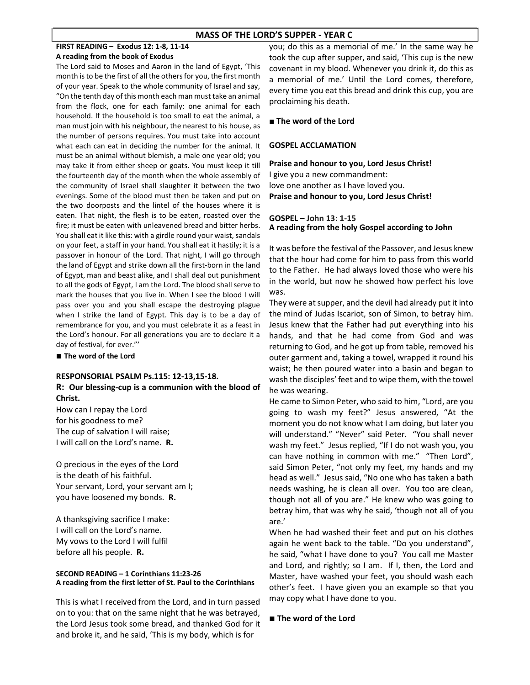### MASS OF THE LORD'S SUPPER - YEAR C

### FIRST READING – Exodus 12: 1-8, 11-14 A reading from the book of Exodus

The Lord said to Moses and Aaron in the land of Egypt, 'This month is to be the first of all the others for you, the first month of your year. Speak to the whole community of Israel and say, "On the tenth day of this month each man must take an animal from the flock, one for each family: one animal for each household. If the household is too small to eat the animal, a man must join with his neighbour, the nearest to his house, as the number of persons requires. You must take into account what each can eat in deciding the number for the animal. It must be an animal without blemish, a male one year old; you may take it from either sheep or goats. You must keep it till the fourteenth day of the month when the whole assembly of the community of Israel shall slaughter it between the two evenings. Some of the blood must then be taken and put on the two doorposts and the lintel of the houses where it is eaten. That night, the flesh is to be eaten, roasted over the fire; it must be eaten with unleavened bread and bitter herbs. You shall eat it like this: with a girdle round your waist, sandals on your feet, a staff in your hand. You shall eat it hastily; it is a passover in honour of the Lord. That night, I will go through the land of Egypt and strike down all the first-born in the land of Egypt, man and beast alike, and I shall deal out punishment to all the gods of Egypt, I am the Lord. The blood shall serve to mark the houses that you live in. When I see the blood I will pass over you and you shall escape the destroying plague when I strike the land of Egypt. This day is to be a day of remembrance for you, and you must celebrate it as a feast in the Lord's honour. For all generations you are to declare it a day of festival, for ever."'

■ The word of the Lord

# RESPONSORIAL PSALM Ps.115: 12-13,15-18. R: Our blessing-cup is a communion with the blood of Christ.

How can I repay the Lord for his goodness to me? The cup of salvation I will raise; I will call on the Lord's name. R.

O precious in the eyes of the Lord is the death of his faithful. Your servant, Lord, your servant am I; you have loosened my bonds. R.

A thanksgiving sacrifice I make: I will call on the Lord's name. My vows to the Lord I will fulfil before all his people. R.

### SECOND READING – 1 Corinthians 11:23-26 A reading from the first letter of St. Paul to the Corinthians

This is what I received from the Lord, and in turn passed on to you: that on the same night that he was betrayed, the Lord Jesus took some bread, and thanked God for it and broke it, and he said, 'This is my body, which is for

you; do this as a memorial of me.' In the same way he took the cup after supper, and said, 'This cup is the new covenant in my blood. Whenever you drink it, do this as a memorial of me.' Until the Lord comes, therefore, every time you eat this bread and drink this cup, you are proclaiming his death.

### ■ The word of the Lord

### GOSPEL ACCLAMATION

Praise and honour to you, Lord Jesus Christ! I give you a new commandment: love one another as I have loved you. Praise and honour to you, Lord Jesus Christ!

## GOSPEL – John 13: 1-15 A reading from the holy Gospel according to John

It was before the festival of the Passover, and Jesus knew that the hour had come for him to pass from this world to the Father. He had always loved those who were his in the world, but now he showed how perfect his love was.

They were at supper, and the devil had already put it into the mind of Judas Iscariot, son of Simon, to betray him. Jesus knew that the Father had put everything into his hands, and that he had come from God and was returning to God, and he got up from table, removed his outer garment and, taking a towel, wrapped it round his waist; he then poured water into a basin and began to wash the disciples' feet and to wipe them, with the towel he was wearing.

He came to Simon Peter, who said to him, "Lord, are you going to wash my feet?" Jesus answered, "At the moment you do not know what I am doing, but later you will understand." "Never" said Peter. "You shall never wash my feet." Jesus replied, "If I do not wash you, you can have nothing in common with me." "Then Lord", said Simon Peter, "not only my feet, my hands and my head as well." Jesus said, "No one who has taken a bath needs washing, he is clean all over. You too are clean, though not all of you are." He knew who was going to betray him, that was why he said, 'though not all of you are.'

When he had washed their feet and put on his clothes again he went back to the table. "Do you understand", he said, "what I have done to you? You call me Master and Lord, and rightly; so I am. If I, then, the Lord and Master, have washed your feet, you should wash each other's feet. I have given you an example so that you may copy what I have done to you.

### ■ The word of the Lord